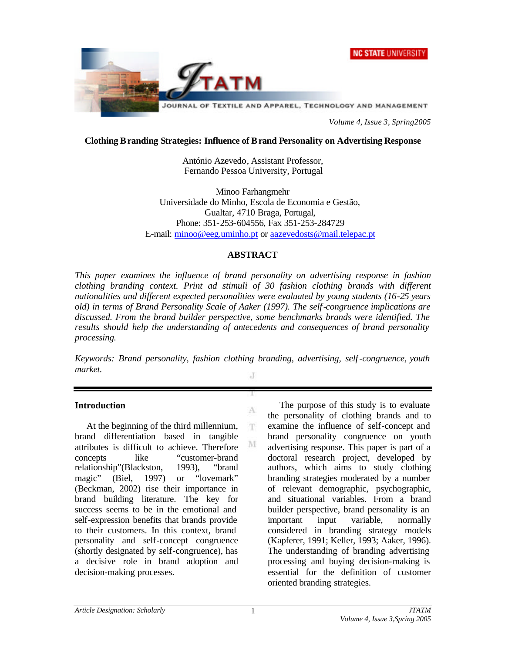



*Volume 4, Issue 3, Spring2005*

## **Clothing Branding Strategies: Influence of Brand Personality on Advertising Response**

António Azevedo, Assistant Professor, Fernando Pessoa University, Portugal

Minoo Farhangmehr Universidade do Minho, Escola de Economia e Gestão, Gualtar, 4710 Braga, Portugal, Phone: 351-253-604556, Fax 351-253-284729 E-mail: minoo@eeg.uminho.pt or aazevedosts@mail.telepac.pt

### **ABSTRACT**

*This paper examines the influence of brand personality on advertising response in fashion clothing branding context. Print ad stimuli of 30 fashion clothing brands with different nationalities and different expected personalities were evaluated by young students (16-25 years old) in terms of Brand Personality Scale of Aaker (1997). The self-congruence implications are discussed. From the brand builder perspective, some benchmarks brands were identified. The results should help the understanding of antecedents and consequences of brand personality processing.*

*Keywords: Brand personality, fashion clothing branding, advertising, self-congruence, youth market.* J

A

T.

M

# **Introduction**

At the beginning of the third millennium, brand differentiation based in tangible attributes is difficult to achieve. Therefore concepts like "customer-brand relationship"(Blackston, 1993), "brand magic" (Biel, 1997) or "lovemark" (Beckman, 2002) rise their importance in brand building literature. The key for success seems to be in the emotional and self-expression benefits that brands provide to their customers. In this context, brand personality and self-concept congruence (shortly designated by self-congruence), has a decisive role in brand adoption and decision-making processes.

The purpose of this study is to evaluate the personality of clothing brands and to examine the influence of self-concept and brand personality congruence on youth advertising response. This paper is part of a doctoral research project, developed by authors, which aims to study clothing branding strategies moderated by a number of relevant demographic, psychographic, and situational variables. From a brand builder perspective, brand personality is an important input variable, normally considered in branding strategy models (Kapferer, 1991; Keller, 1993; Aaker, 1996). The understanding of branding advertising processing and buying decision-making is essential for the definition of customer oriented branding strategies.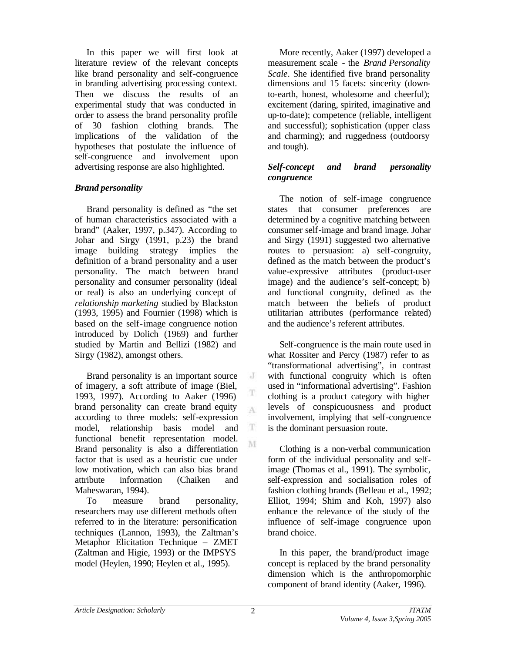In this paper we will first look at literature review of the relevant concepts like brand personality and self-congruence in branding advertising processing context. Then we discuss the results of an experimental study that was conducted in order to assess the brand personality profile of 30 fashion clothing brands. The implications of the validation of the hypotheses that postulate the influence of self-congruence and involvement upon advertising response are also highlighted.

# *Brand personality*

Brand personality is defined as "the set of human characteristics associated with a brand" (Aaker, 1997, p.347). According to Johar and Sirgy (1991, p.23) the brand image building strategy implies the definition of a brand personality and a user personality. The match between brand personality and consumer personality (ideal or real) is also an underlying concept of *relationship marketing* studied by Blackston (1993, 1995) and Fournier (1998) which is based on the self-image congruence notion introduced by Dolich (1969) and further studied by Martin and Bellizi (1982) and Sirgy (1982), amongst others.

Brand personality is an important source of imagery, a soft attribute of image (Biel, 1993, 1997). According to Aaker (1996) brand personality can create brand equity according to three models: self-expression model, relationship basis model and functional benefit representation model. Brand personality is also a differentiation factor that is used as a heuristic cue under low motivation, which can also bias brand attribute information (Chaiken and Maheswaran, 1994).

To measure brand personality, researchers may use different methods often referred to in the literature: personification techniques (Lannon, 1993), the Zaltman's Metaphor Elicitation Technique – ZMET (Zaltman and Higie, 1993) or the IMPSYS model (Heylen, 1990; Heylen et al., 1995).

More recently, Aaker (1997) developed a measurement scale - the *Brand Personality Scale*. She identified five brand personality dimensions and 15 facets: sincerity (downto-earth, honest, wholesome and cheerful); excitement (daring, spirited, imaginative and up-to-date); competence (reliable, intelligent and successful); sophistication (upper class and charming); and ruggedness (outdoorsy and tough).

## *Self-concept and brand personality congruence*

The notion of self-image congruence states that consumer preferences are determined by a cognitive matching between consumer self-image and brand image. Johar and Sirgy (1991) suggested two alternative routes to persuasion: a) self-congruity, defined as the match between the product's value-expressive attributes (product-user image) and the audience's self-concept; b) and functional congruity, defined as the match between the beliefs of product utilitarian attributes (performance related) and the audience's referent attributes.

Self-congruence is the main route used in what Rossiter and Percy (1987) refer to as "transformational advertising", in contrast with functional congruity which is often used in "informational advertising". Fashion clothing is a product category with higher levels of conspicuousness and product involvement, implying that self-congruence is the dominant persuasion route.

Clothing is a non-verbal communication form of the individual personality and selfimage (Thomas et al., 1991). The symbolic, self-expression and socialisation roles of fashion clothing brands (Belleau et al., 1992; Elliot, 1994; Shim and Koh, 1997) also enhance the relevance of the study of the influence of self-image congruence upon brand choice.

In this paper, the brand/product image concept is replaced by the brand personality dimension which is the anthropomorphic component of brand identity (Aaker, 1996).

 $J$ 

T A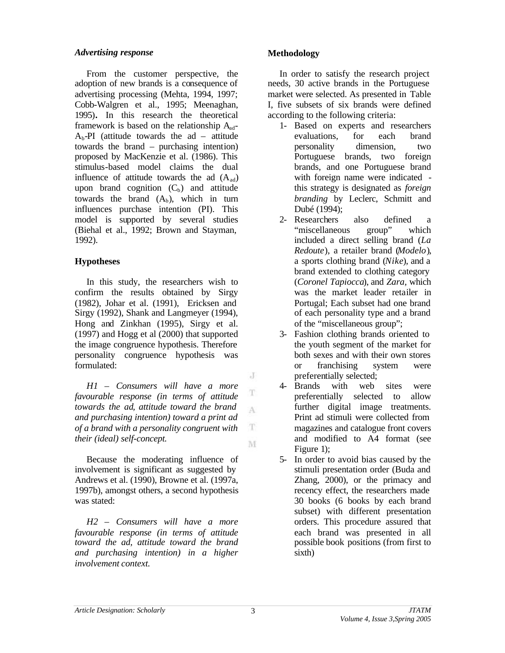# *Advertising response*

From the customer perspective, the adoption of new brands is a consequence of advertising processing (Mehta, 1994, 1997; Cobb-Walgren et al., 1995; Meenaghan, 1995)**.** In this research the theoretical framework is based on the relationship  $A_{ad}$ - $A_b$ -PI (attitude towards the ad – attitude towards the brand – purchasing intention) proposed by MacKenzie et al. (1986). This stimulus-based model claims the dual influence of attitude towards the ad  $(A_{ad})$ upon brand cognition  $(C_b)$  and attitude towards the brand  $(A_b)$ , which in turn influences purchase intention (PI). This model is supported by several studies (Biehal et al., 1992; Brown and Stayman, 1992).

# **Hypotheses**

In this study, the researchers wish to confirm the results obtained by Sirgy (1982), Johar et al. (1991), Ericksen and Sirgy (1992), Shank and Langmeyer (1994), Hong and Zinkhan (1995), Sirgy et al. (1997) and Hogg et al (2000) that supported the image congruence hypothesis. Therefore personality congruence hypothesis was formulated:

*H1 – Consumers will have a more* T *favourable response (in terms of attitude towards the ad, attitude toward the brand*  A *and purchasing intention) toward a print ad of a brand with a personality congruent with*  T *their (ideal) self-concept.*  M

Because the moderating influence of involvement is significant as suggested by Andrews et al. (1990), Browne et al. (1997a, 1997b), amongst others, a second hypothesis was stated:

*H2 – Consumers will have a more favourable response (in terms of attitude toward the ad, attitude toward the brand and purchasing intention) in a higher involvement context.*

# **Methodology**

In order to satisfy the research project needs, 30 active brands in the Portuguese market were selected. As presented in Table I, five subsets of six brands were defined according to the following criteria:

- 1- Based on experts and researchers evaluations, for each brand personality dimension, two Portuguese brands, two foreign brands, and one Portuguese brand with foreign name were indicated this strategy is designated as *foreign branding* by Leclerc, Schmitt and Dubé (1994);
- 2- Researchers also defined a "miscellaneous group" which included a direct selling brand (*La Redoute*), a retailer brand (*Modelo*), a sports clothing brand (*Nike*), and a brand extended to clothing category (*Coronel Tapiocca*), and *Zara,* which was the market leader retailer in Portugal; Each subset had one brand of each personality type and a brand of the "miscellaneous group";
- 3- Fashion clothing brands oriented to the youth segment of the market for both sexes and with their own stores or franchising system were preferentially selected;
- 4- Brands with web sites were preferentially selected to allow further digital image treatments. Print ad stimuli were collected from magazines and catalogue front covers and modified to A4 format (see Figure 1);
- 5- In order to avoid bias caused by the stimuli presentation order (Buda and Zhang, 2000), or the primacy and recency effect, the researchers made 30 books (6 books by each brand subset) with different presentation orders. This procedure assured that each brand was presented in all possible book positions (from first to sixth)

 $\cdot$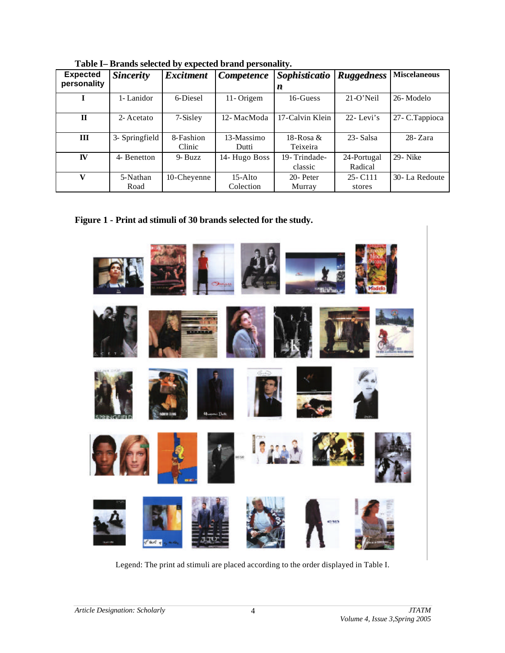| $\mathbf{r}$ and $\mathbf{r}$ are not not need to $\mathbf{r}$ , the correct neutron performance $\mathbf{r}$ |                  |                  |                   |                 |                   |                     |  |
|---------------------------------------------------------------------------------------------------------------|------------------|------------------|-------------------|-----------------|-------------------|---------------------|--|
| <b>Expected</b>                                                                                               | <b>Sincerity</b> | <b>Excitment</b> | <b>Competence</b> | Sophisticatio   | <b>Ruggedness</b> | <b>Miscelaneous</b> |  |
| personality                                                                                                   |                  |                  |                   | n               |                   |                     |  |
|                                                                                                               | 1-Lanidor        | 6-Diesel         | 11-Origem         | 16-Guess        | $21-O'Neil$       | 26-Modelo           |  |
|                                                                                                               |                  |                  |                   |                 |                   |                     |  |
| $\mathbf H$                                                                                                   | 2- Acetato       | 7-Sisley         | 12-MacModa        | 17-Calvin Klein | $22 - Levi's$     | 27- C.Tappioca      |  |
|                                                                                                               |                  |                  |                   |                 |                   |                     |  |
| III                                                                                                           | 3- Springfield   | 8-Fashion        | 13-Massimo        | 18-Rosa $\&$    | 23- Salsa         | $28 - Zara$         |  |
|                                                                                                               |                  | Clinic           | Dutti             | Teixeira        |                   |                     |  |
| <b>IV</b>                                                                                                     | 4- Benetton      | 9- Buzz          | 14- Hugo Boss     | 19-Trindade-    | 24-Portugal       | 29- Nike            |  |
|                                                                                                               |                  |                  |                   | classic         | Radical           |                     |  |
| V                                                                                                             | 5-Nathan         | 10-Cheyenne      | $15-A$ lto        | 20- Peter       | $25 - C111$       | 30-La Redoute       |  |
|                                                                                                               | Road             |                  | Colection         | Murray          | stores            |                     |  |

**Table I– Brands selected by expected brand personality.**

**Figure 1 - Print ad stimuli of 30 brands selected for the study.**



Legend: The print ad stimuli are placed according to the order displayed in Table I.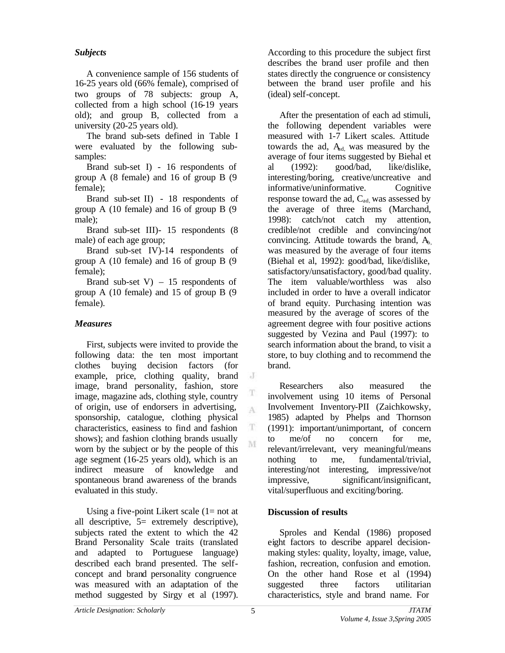# *Subjects*

A convenience sample of 156 students of 16-25 years old (66% female), comprised of two groups of 78 subjects: group A, collected from a high school (16-19 years old); and group B, collected from a university (20-25 years old).

The brand sub-sets defined in Table I were evaluated by the following subsamples:

Brand sub-set I) - 16 respondents of group A (8 female) and 16 of group B (9 female);

Brand sub-set II) - 18 respondents of group A (10 female) and 16 of group B (9 male);

Brand sub-set III)- 15 respondents (8 male) of each age group;

Brand sub-set IV)-14 respondents of group A (10 female) and 16 of group B (9 female);

Brand sub-set  $V = 15$  respondents of group A (10 female) and 15 of group B (9 female).

# *Measures*

First, subjects were invited to provide the following data: the ten most important clothes buying decision factors (for example, price, clothing quality, brand image, brand personality, fashion, store image, magazine ads, clothing style, country of origin, use of endorsers in advertising, sponsorship, catalogue, clothing physical characteristics, easiness to find and fashion shows); and fashion clothing brands usually worn by the subject or by the people of this age segment (16-25 years old), which is an indirect measure of knowledge and spontaneous brand awareness of the brands evaluated in this study.

Using a five-point Likert scale  $(1=$  not at all descriptive, 5= extremely descriptive), subjects rated the extent to which the 42 Brand Personality Scale traits (translated and adapted to Portuguese language) described each brand presented. The selfconcept and brand personality congruence was measured with an adaptation of the method suggested by Sirgy et al (1997).

According to this procedure the subject first describes the brand user profile and then states directly the congruence or consistency between the brand user profile and his (ideal) self-concept.

After the presentation of each ad stimuli, the following dependent variables were measured with 1-7 Likert scales. Attitude towards the ad,  $A_{ad}$  was measured by the average of four items suggested by Biehal et al (1992): good/bad, like/dislike, interesting/boring, creative/uncreative and informative/uninformative. Cognitive response toward the ad,  $C_{ad}$  was assessed by the average of three items (Marchand, 1998): catch/not catch my attention, credible/not credible and convincing/not convincing. Attitude towards the brand,  $A_{b}$ , was measured by the average of four items (Biehal et al, 1992): good/bad, like/dislike, satisfactory/unsatisfactory, good/bad quality. The item valuable/worthless was also included in order to have a overall indicator of brand equity. Purchasing intention was measured by the average of scores of the agreement degree with four positive actions suggested by Vezina and Paul (1997): to search information about the brand, to visit a store, to buy clothing and to recommend the brand.

Researchers also measured the involvement using 10 items of Personal Involvement Inventory-PII (Zaichkowsky, 1985) adapted by Phelps and Thornson (1991): important/unimportant, of concern to me/of no concern for me, relevant/irrelevant, very meaningful/means nothing to me, fundamental/trivial, interesting/not interesting, impressive/not impressive, significant/insignificant, vital/superfluous and exciting/boring.

# **Discussion of results**

Sproles and Kendal (1986) proposed eight factors to describe apparel decisionmaking styles: quality, loyalty, image, value, fashion, recreation, confusion and emotion. On the other hand Rose et al (1994) suggested three factors utilitarian characteristics, style and brand name. For

 $\rm J$ 

T A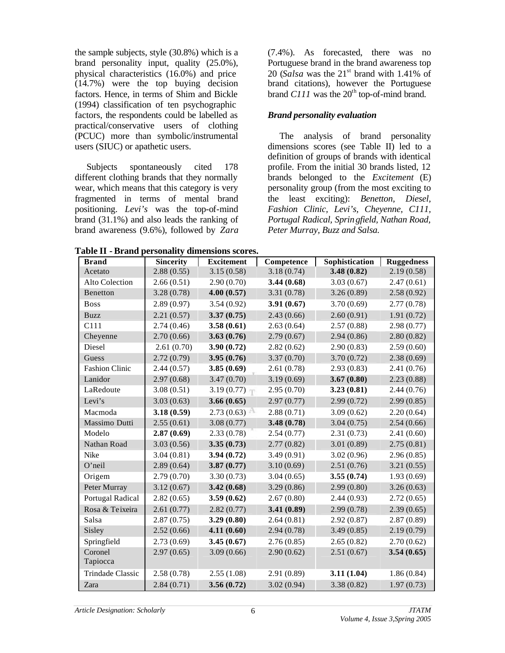the sample subjects, style (30.8%) which is a brand personality input, quality (25.0%), physical characteristics (16.0%) and price  $(14.7%)$  were the top buying decision factors. Hence, in terms of Shim and Bickle (1994) classification of ten psychographic factors, the respondents could be labelled as practical/conservative users of clothing (PCUC) more than symbolic/instrumental users (SIUC) or apathetic users.

Subjects spontaneously cited 178 different clothing brands that they normally wear, which means that this category is very fragmented in terms of mental brand positioning. *Levi's* was the top-of-mind brand (31.1%) and also leads the ranking of brand awareness (9.6%), followed by *Zara* (7.4%). As forecasted, there was no Portuguese brand in the brand awareness top 20 (*Salsa* was the  $21<sup>st</sup>$  brand with 1.41% of brand citations), however the Portuguese brand  $C111$  was the  $20<sup>th</sup>$  top-of-mind brand.

### *Brand personality evaluation*

The analysis of brand personality dimensions scores (see Table II) led to a definition of groups of brands with identical profile. From the initial 30 brands listed, 12 brands belonged to the *Excitement* (E) personality group (from the most exciting to the least exciting): *Benetton, Diesel, Fashion Clinic, Levi's, Cheyenne, C111, Portugal Radical, Springfield, Nathan Road, Peter Murray, Buzz and Salsa.*

**Table II - Brand personality dimensions scores.**

| Acetato<br>Alto Colection<br>2.66(0.51)<br>2.90(0.70)<br>3.44(0.68)<br>3.03(0.67)<br>2.47(0.61)<br>4.00(0.57)<br>3.28(0.78)<br>3.31(0.78)<br>3.26(0.89)<br>2.58(0.92)<br>Benetton<br>2.89(0.97)<br>3.54(0.92)<br>3.91(0.67)<br>3.70(0.69)<br>2.77(0.78)<br><b>Boss</b><br>3.37(0.75)<br>2.43(0.66)<br>2.60(0.91)<br>1.91(0.72)<br>2.21(0.57)<br><b>Buzz</b><br>C111<br>2.74(0.46)<br>3.58(0.61)<br>2.63(0.64)<br>2.57(0.88)<br>2.98(0.77)<br>2.70(0.66)<br>3.63(0.76)<br>2.79(0.67)<br>2.94(0.86)<br>2.80(0.82)<br>Cheyenne<br>Diesel<br>2.61(0.70)<br>3.90(0.72)<br>2.82(0.62)<br>2.90(0.83)<br>2.59(0.60)<br>2.72(0.79)<br>3.95(0.76)<br>3.37(0.70)<br>3.70(0.72)<br>2.38(0.69)<br>Guess<br><b>Fashion Clinic</b><br>2.44(0.57)<br>3.85(0.69)<br>2.61(0.78)<br>2.93(0.83)<br>2.41(0.76)<br>Lanidor<br>2.97(0.68)<br>3.47(0.70)<br>3.19(0.69)<br>3.67(0.80)<br>2.23(0.88)<br>LaRedoute<br>3.08(0.51)<br>3.19(0.77)<br>2.95(0.70)<br>3.23(0.81)<br>2.44(0.76)<br>3.03(0.63)<br>3.66(0.65)<br>2.97(0.77)<br>2.99(0.72)<br>2.99(0.85)<br>Levi's<br>3.18(0.59)<br>2.73(0.63)<br>2.88(0.71)<br>3.09(0.62)<br>2.20(0.64)<br>Macmoda<br>3.08(0.77)<br>3.48(0.78)<br>Massimo Dutti<br>2.55(0.61)<br>3.04(0.75)<br>2.54(0.66)<br>Modelo<br>2.87(0.69)<br>2.33(0.78)<br>2.54(0.77)<br>2.31(0.73)<br>2.41(0.60)<br>Nathan Road<br>3.03(0.56)<br>3.35(0.73)<br>2.77(0.82)<br>3.01(0.89)<br>2.75(0.81)<br>Nike<br>3.04(0.81)<br>3.94(0.72)<br>3.49(0.91)<br>3.02(0.96)<br>2.96(0.85)<br>3.87(0.77)<br>O'neil<br>2.89(0.64)<br>3.10(0.69)<br>2.51(0.76)<br>3.21(0.55)<br>2.79(0.70)<br>3.30(0.73)<br>3.04(0.65)<br>3.55(0.74)<br>1.93(0.69)<br>Origem<br>Peter Murray<br>3.12(0.67)<br>3.42(0.68)<br>3.29(0.86)<br>2.99(0.80)<br>3.26(0.63)<br>Portugal Radical<br>2.82(0.65)<br>3.59(0.62)<br>2.67(0.80)<br>2.44(0.93)<br>2.72(0.65)<br>3.41(0.89)<br>Rosa & Teixeira<br>2.61(0.77)<br>2.82(0.77)<br>2.99(0.78)<br>2.39(0.65)<br>Salsa<br>2.87(0.75)<br>3.29(0.80)<br>2.64(0.81)<br>2.87(0.89)<br>2.92(0.87)<br>4.11(0.60)<br>Sisley<br>2.52(0.66)<br>2.94(0.78)<br>3.49(0.85)<br>2.19(0.79)<br>Springfield<br>2.73(0.69)<br>3.45(0.67)<br>2.76(0.85)<br>2.65(0.82)<br>2.70(0.62)<br>Coronel<br>2.97(0.65)<br>3.09(0.66)<br>2.90(0.62)<br>3.54(0.65)<br>2.51(0.67)<br>Tapiocca<br>3.11(1.04)<br>Trindade Classic<br>2.58(0.78)<br>2.55(1.08)<br>2.91(0.89)<br>1.86(0.84) | <b>Brand</b> | <b>Sincerity</b> | <b>Excitement</b> | Competence | Sophistication | <b>Ruggedness</b> |
|--------------------------------------------------------------------------------------------------------------------------------------------------------------------------------------------------------------------------------------------------------------------------------------------------------------------------------------------------------------------------------------------------------------------------------------------------------------------------------------------------------------------------------------------------------------------------------------------------------------------------------------------------------------------------------------------------------------------------------------------------------------------------------------------------------------------------------------------------------------------------------------------------------------------------------------------------------------------------------------------------------------------------------------------------------------------------------------------------------------------------------------------------------------------------------------------------------------------------------------------------------------------------------------------------------------------------------------------------------------------------------------------------------------------------------------------------------------------------------------------------------------------------------------------------------------------------------------------------------------------------------------------------------------------------------------------------------------------------------------------------------------------------------------------------------------------------------------------------------------------------------------------------------------------------------------------------------------------------------------------------------------------------------------------------------------------------------------------------------------------------------------------------------------------------------------------------------------------------------------------------------------------------------------------------------------------------------------------------------------|--------------|------------------|-------------------|------------|----------------|-------------------|
|                                                                                                                                                                                                                                                                                                                                                                                                                                                                                                                                                                                                                                                                                                                                                                                                                                                                                                                                                                                                                                                                                                                                                                                                                                                                                                                                                                                                                                                                                                                                                                                                                                                                                                                                                                                                                                                                                                                                                                                                                                                                                                                                                                                                                                                                                                                                                              |              | 2.88(0.55)       | 3.15(0.58)        | 3.18(0.74) | 3.48(0.82)     | 2.19(0.58)        |
|                                                                                                                                                                                                                                                                                                                                                                                                                                                                                                                                                                                                                                                                                                                                                                                                                                                                                                                                                                                                                                                                                                                                                                                                                                                                                                                                                                                                                                                                                                                                                                                                                                                                                                                                                                                                                                                                                                                                                                                                                                                                                                                                                                                                                                                                                                                                                              |              |                  |                   |            |                |                   |
|                                                                                                                                                                                                                                                                                                                                                                                                                                                                                                                                                                                                                                                                                                                                                                                                                                                                                                                                                                                                                                                                                                                                                                                                                                                                                                                                                                                                                                                                                                                                                                                                                                                                                                                                                                                                                                                                                                                                                                                                                                                                                                                                                                                                                                                                                                                                                              |              |                  |                   |            |                |                   |
|                                                                                                                                                                                                                                                                                                                                                                                                                                                                                                                                                                                                                                                                                                                                                                                                                                                                                                                                                                                                                                                                                                                                                                                                                                                                                                                                                                                                                                                                                                                                                                                                                                                                                                                                                                                                                                                                                                                                                                                                                                                                                                                                                                                                                                                                                                                                                              |              |                  |                   |            |                |                   |
|                                                                                                                                                                                                                                                                                                                                                                                                                                                                                                                                                                                                                                                                                                                                                                                                                                                                                                                                                                                                                                                                                                                                                                                                                                                                                                                                                                                                                                                                                                                                                                                                                                                                                                                                                                                                                                                                                                                                                                                                                                                                                                                                                                                                                                                                                                                                                              |              |                  |                   |            |                |                   |
|                                                                                                                                                                                                                                                                                                                                                                                                                                                                                                                                                                                                                                                                                                                                                                                                                                                                                                                                                                                                                                                                                                                                                                                                                                                                                                                                                                                                                                                                                                                                                                                                                                                                                                                                                                                                                                                                                                                                                                                                                                                                                                                                                                                                                                                                                                                                                              |              |                  |                   |            |                |                   |
|                                                                                                                                                                                                                                                                                                                                                                                                                                                                                                                                                                                                                                                                                                                                                                                                                                                                                                                                                                                                                                                                                                                                                                                                                                                                                                                                                                                                                                                                                                                                                                                                                                                                                                                                                                                                                                                                                                                                                                                                                                                                                                                                                                                                                                                                                                                                                              |              |                  |                   |            |                |                   |
|                                                                                                                                                                                                                                                                                                                                                                                                                                                                                                                                                                                                                                                                                                                                                                                                                                                                                                                                                                                                                                                                                                                                                                                                                                                                                                                                                                                                                                                                                                                                                                                                                                                                                                                                                                                                                                                                                                                                                                                                                                                                                                                                                                                                                                                                                                                                                              |              |                  |                   |            |                |                   |
|                                                                                                                                                                                                                                                                                                                                                                                                                                                                                                                                                                                                                                                                                                                                                                                                                                                                                                                                                                                                                                                                                                                                                                                                                                                                                                                                                                                                                                                                                                                                                                                                                                                                                                                                                                                                                                                                                                                                                                                                                                                                                                                                                                                                                                                                                                                                                              |              |                  |                   |            |                |                   |
|                                                                                                                                                                                                                                                                                                                                                                                                                                                                                                                                                                                                                                                                                                                                                                                                                                                                                                                                                                                                                                                                                                                                                                                                                                                                                                                                                                                                                                                                                                                                                                                                                                                                                                                                                                                                                                                                                                                                                                                                                                                                                                                                                                                                                                                                                                                                                              |              |                  |                   |            |                |                   |
|                                                                                                                                                                                                                                                                                                                                                                                                                                                                                                                                                                                                                                                                                                                                                                                                                                                                                                                                                                                                                                                                                                                                                                                                                                                                                                                                                                                                                                                                                                                                                                                                                                                                                                                                                                                                                                                                                                                                                                                                                                                                                                                                                                                                                                                                                                                                                              |              |                  |                   |            |                |                   |
|                                                                                                                                                                                                                                                                                                                                                                                                                                                                                                                                                                                                                                                                                                                                                                                                                                                                                                                                                                                                                                                                                                                                                                                                                                                                                                                                                                                                                                                                                                                                                                                                                                                                                                                                                                                                                                                                                                                                                                                                                                                                                                                                                                                                                                                                                                                                                              |              |                  |                   |            |                |                   |
|                                                                                                                                                                                                                                                                                                                                                                                                                                                                                                                                                                                                                                                                                                                                                                                                                                                                                                                                                                                                                                                                                                                                                                                                                                                                                                                                                                                                                                                                                                                                                                                                                                                                                                                                                                                                                                                                                                                                                                                                                                                                                                                                                                                                                                                                                                                                                              |              |                  |                   |            |                |                   |
|                                                                                                                                                                                                                                                                                                                                                                                                                                                                                                                                                                                                                                                                                                                                                                                                                                                                                                                                                                                                                                                                                                                                                                                                                                                                                                                                                                                                                                                                                                                                                                                                                                                                                                                                                                                                                                                                                                                                                                                                                                                                                                                                                                                                                                                                                                                                                              |              |                  |                   |            |                |                   |
|                                                                                                                                                                                                                                                                                                                                                                                                                                                                                                                                                                                                                                                                                                                                                                                                                                                                                                                                                                                                                                                                                                                                                                                                                                                                                                                                                                                                                                                                                                                                                                                                                                                                                                                                                                                                                                                                                                                                                                                                                                                                                                                                                                                                                                                                                                                                                              |              |                  |                   |            |                |                   |
|                                                                                                                                                                                                                                                                                                                                                                                                                                                                                                                                                                                                                                                                                                                                                                                                                                                                                                                                                                                                                                                                                                                                                                                                                                                                                                                                                                                                                                                                                                                                                                                                                                                                                                                                                                                                                                                                                                                                                                                                                                                                                                                                                                                                                                                                                                                                                              |              |                  |                   |            |                |                   |
|                                                                                                                                                                                                                                                                                                                                                                                                                                                                                                                                                                                                                                                                                                                                                                                                                                                                                                                                                                                                                                                                                                                                                                                                                                                                                                                                                                                                                                                                                                                                                                                                                                                                                                                                                                                                                                                                                                                                                                                                                                                                                                                                                                                                                                                                                                                                                              |              |                  |                   |            |                |                   |
|                                                                                                                                                                                                                                                                                                                                                                                                                                                                                                                                                                                                                                                                                                                                                                                                                                                                                                                                                                                                                                                                                                                                                                                                                                                                                                                                                                                                                                                                                                                                                                                                                                                                                                                                                                                                                                                                                                                                                                                                                                                                                                                                                                                                                                                                                                                                                              |              |                  |                   |            |                |                   |
|                                                                                                                                                                                                                                                                                                                                                                                                                                                                                                                                                                                                                                                                                                                                                                                                                                                                                                                                                                                                                                                                                                                                                                                                                                                                                                                                                                                                                                                                                                                                                                                                                                                                                                                                                                                                                                                                                                                                                                                                                                                                                                                                                                                                                                                                                                                                                              |              |                  |                   |            |                |                   |
|                                                                                                                                                                                                                                                                                                                                                                                                                                                                                                                                                                                                                                                                                                                                                                                                                                                                                                                                                                                                                                                                                                                                                                                                                                                                                                                                                                                                                                                                                                                                                                                                                                                                                                                                                                                                                                                                                                                                                                                                                                                                                                                                                                                                                                                                                                                                                              |              |                  |                   |            |                |                   |
|                                                                                                                                                                                                                                                                                                                                                                                                                                                                                                                                                                                                                                                                                                                                                                                                                                                                                                                                                                                                                                                                                                                                                                                                                                                                                                                                                                                                                                                                                                                                                                                                                                                                                                                                                                                                                                                                                                                                                                                                                                                                                                                                                                                                                                                                                                                                                              |              |                  |                   |            |                |                   |
|                                                                                                                                                                                                                                                                                                                                                                                                                                                                                                                                                                                                                                                                                                                                                                                                                                                                                                                                                                                                                                                                                                                                                                                                                                                                                                                                                                                                                                                                                                                                                                                                                                                                                                                                                                                                                                                                                                                                                                                                                                                                                                                                                                                                                                                                                                                                                              |              |                  |                   |            |                |                   |
|                                                                                                                                                                                                                                                                                                                                                                                                                                                                                                                                                                                                                                                                                                                                                                                                                                                                                                                                                                                                                                                                                                                                                                                                                                                                                                                                                                                                                                                                                                                                                                                                                                                                                                                                                                                                                                                                                                                                                                                                                                                                                                                                                                                                                                                                                                                                                              |              |                  |                   |            |                |                   |
|                                                                                                                                                                                                                                                                                                                                                                                                                                                                                                                                                                                                                                                                                                                                                                                                                                                                                                                                                                                                                                                                                                                                                                                                                                                                                                                                                                                                                                                                                                                                                                                                                                                                                                                                                                                                                                                                                                                                                                                                                                                                                                                                                                                                                                                                                                                                                              |              |                  |                   |            |                |                   |
|                                                                                                                                                                                                                                                                                                                                                                                                                                                                                                                                                                                                                                                                                                                                                                                                                                                                                                                                                                                                                                                                                                                                                                                                                                                                                                                                                                                                                                                                                                                                                                                                                                                                                                                                                                                                                                                                                                                                                                                                                                                                                                                                                                                                                                                                                                                                                              |              |                  |                   |            |                |                   |
|                                                                                                                                                                                                                                                                                                                                                                                                                                                                                                                                                                                                                                                                                                                                                                                                                                                                                                                                                                                                                                                                                                                                                                                                                                                                                                                                                                                                                                                                                                                                                                                                                                                                                                                                                                                                                                                                                                                                                                                                                                                                                                                                                                                                                                                                                                                                                              |              |                  |                   |            |                |                   |
|                                                                                                                                                                                                                                                                                                                                                                                                                                                                                                                                                                                                                                                                                                                                                                                                                                                                                                                                                                                                                                                                                                                                                                                                                                                                                                                                                                                                                                                                                                                                                                                                                                                                                                                                                                                                                                                                                                                                                                                                                                                                                                                                                                                                                                                                                                                                                              |              |                  |                   |            |                |                   |
|                                                                                                                                                                                                                                                                                                                                                                                                                                                                                                                                                                                                                                                                                                                                                                                                                                                                                                                                                                                                                                                                                                                                                                                                                                                                                                                                                                                                                                                                                                                                                                                                                                                                                                                                                                                                                                                                                                                                                                                                                                                                                                                                                                                                                                                                                                                                                              |              |                  |                   |            |                |                   |
|                                                                                                                                                                                                                                                                                                                                                                                                                                                                                                                                                                                                                                                                                                                                                                                                                                                                                                                                                                                                                                                                                                                                                                                                                                                                                                                                                                                                                                                                                                                                                                                                                                                                                                                                                                                                                                                                                                                                                                                                                                                                                                                                                                                                                                                                                                                                                              |              |                  |                   |            |                |                   |
|                                                                                                                                                                                                                                                                                                                                                                                                                                                                                                                                                                                                                                                                                                                                                                                                                                                                                                                                                                                                                                                                                                                                                                                                                                                                                                                                                                                                                                                                                                                                                                                                                                                                                                                                                                                                                                                                                                                                                                                                                                                                                                                                                                                                                                                                                                                                                              | Zara         | 2.84(0.71)       | 3.56(0.72)        | 3.02(0.94) | 3.38(0.82)     | 1.97(0.73)        |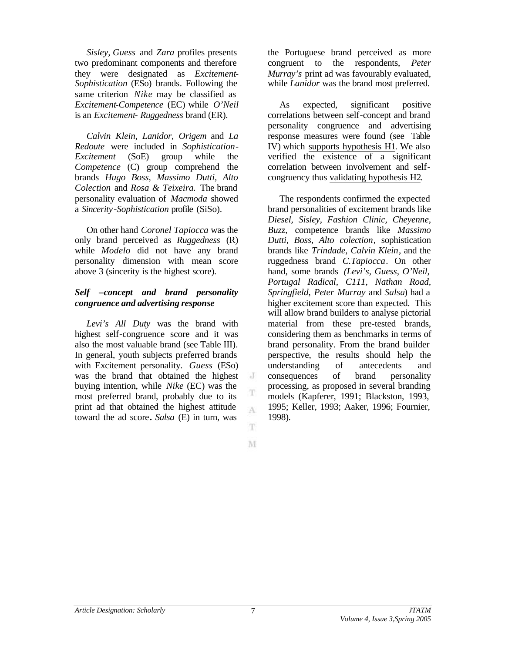*Sisley, Guess* and *Zara* profiles presents two predominant components and therefore they were designated as *Excitement-Sophistication* (ESo) brands*.* Following the same criterion *Nike* may be classified as *Excitement-Competence* (EC) while *O'Neil* is an *Excitement*- *Ruggedness* brand (ER).

*Calvin Klein, Lanidor, Origem* and *La Redoute* were included in *Sophistication-Excitement* (SoE) group while the *Competence* (C) group comprehend the brands *Hugo Boss, Massimo Dutti, Alto Colection* and *Rosa & Teixeira.* The brand personality evaluation of *Macmoda* showed a *Sincerity-Sophistication* profile (SiSo).

On other hand *Coronel Tapiocca* was the only brand perceived as *Ruggedness* (R) while *Modelo* did not have any brand personality dimension with mean score above 3 (sincerity is the highest score).

## *Self –concept and brand personality congruence and advertising response*

*Levi's All Duty* was the brand with highest self-congruence score and it was also the most valuable brand (see Table III). In general, youth subjects preferred brands with Excitement personality. *Guess* (ESo) was the brand that obtained the highest buying intention, while *Nike* (EC) was the most preferred brand, probably due to its print ad that obtained the highest attitude toward the ad score**.** *Salsa* (E) in turn, was

the Portuguese brand perceived as more congruent to the respondents, *Peter Murray's* print ad was favourably evaluated, while *Lanidor* was the brand most preferred.

As expected, significant positive correlations between self-concept and brand personality congruence and advertising response measures were found (see Table IV) which supports hypothesis H1. We also verified the existence of a significant correlation between involvement and selfcongruency thus validating hypothesis H2.

The respondents confirmed the expected brand personalities of excitement brands like *Diesel, Sisley, Fashion Clinic, Cheyenne, Buzz,* competence brands like *Massimo Dutti, Boss, Alto colection*, sophistication brands like *Trindade, Calvin Klein*, and the ruggedness brand *C.Tapiocca*. On other hand, some brands *(Levi's, Guess, O'Neil, Portugal Radical, C111, Nathan Road, Springfield, Peter Murray* and *Salsa*) had a higher excitement score than expected. This will allow brand builders to analyse pictorial material from these pre-tested brands, considering them as benchmarks in terms of brand personality. From the brand builder perspective, the results should help the understanding of antecedents and consequences of brand personality processing, as proposed in several branding models (Kapferer, 1991; Blackston, 1993, 1995; Keller, 1993; Aaker, 1996; Fournier, 1998).

M

 $\cdot$ 

T

A

T.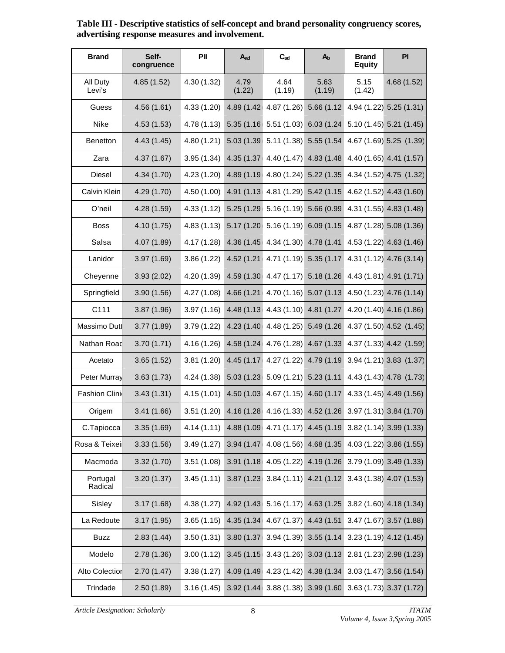| <b>Brand</b>          | Self-<br>congruence | PII         | $A_{ad}$       | $C_{ad}$                          | $A_{b}$        | <b>Brand</b><br><b>Equity</b> | PI                                                        |
|-----------------------|---------------------|-------------|----------------|-----------------------------------|----------------|-------------------------------|-----------------------------------------------------------|
| All Duty<br>Levi's    | 4.85(1.52)          | 4.30(1.32)  | 4.79<br>(1.22) | 4.64<br>(1.19)                    | 5.63<br>(1.19) | 5.15<br>(1.42)                | 4.68(1.52)                                                |
| Guess                 | 4.56(1.61)          | 4.33(1.20)  | 4.89 (1.42)    | 4.87 (1.26)                       | 5.66 (1.12)    |                               | 4.94 (1.22) 5.25 (1.31)                                   |
| Nike                  | 4.53(1.53)          | 4.78(1.13)  | 5.35(1.16)     | 5.51(1.03)                        | 6.03(1.24)     |                               | $5.10(1.45)$ 5.21 $(1.45)$                                |
| <b>Benetton</b>       | 4.43(1.45)          | 4.80(1.21)  | 5.03 (1.39     | 5.11(1.38)                        | 5.55 (1.54     |                               | 4.67 (1.69) 5.25 (1.39)                                   |
| Zara                  | 4.37(1.67)          | 3.95(1.34)  | 4.35 (1.37     | 4.40(1.47)                        | 4.83 (1.48)    |                               | 4.40 (1.65) 4.41 (1.57)                                   |
| Diesel                | 4.34 (1.70)         | 4.23(1.20)  | 4.89 (1.19)    | 4.80(1.24)                        | 5.22(1.35)     |                               | 4.34 (1.52) 4.75 (1.32)                                   |
| Calvin Klein          | 4.29 (1.70)         | 4.50 (1.00) | 4.91 (1.13     | 4.81(1.29)                        | 5.42(1.15      |                               | 4.62 (1.52) 4.43 (1.60)                                   |
| O'neil                | 4.28 (1.59)         | 4.33(1.12)  | 5.25 (1.29)    | 5.16 (1.19) 5.66 (0.99            |                |                               | 4.31 (1.55) 4.83 (1.48)                                   |
| <b>Boss</b>           | 4.10(1.75)          | 4.83(1.13)  | 5.17 (1.20     | 5.16(1.19)                        | 6.09(1.15      |                               | 4.87 (1.28) 5.08 (1.36)                                   |
| Salsa                 | 4.07 (1.89)         | 4.17(1.28)  | 4.36 (1.45     | 4.34(1.30)                        | 4.78 (1.41     |                               | $4.53(1.22)$ $4.63(1.46)$                                 |
| Lanidor               | 3.97(1.69)          | 3.86(1.22)  | 4.52 (1.21     | 4.71(1.19)                        | 5.35(1.17)     |                               | 4.31 (1.12) 4.76 (3.14)                                   |
| Cheyenne              | 3.93(2.02)          | 4.20 (1.39) | 4.59 (1.30     | 4.47(1.17)                        | 5.18 (1.26     |                               | 4.43 (1.81) 4.91 (1.71)                                   |
| Springfield           | 3.90(1.56)          | 4.27(1.08)  | 4.66 (1.21     | 4.70 $(1.16)$ 5.07 $(1.13)$       |                |                               | 4.50 (1.23) 4.76 (1.14)                                   |
| C111                  | 3.87(1.96)          | 3.97(1.16)  | 4.48 (1.13)    | 4.43(1.10)                        | 4.81 (1.27     |                               | 4.20 (1.40) 4.16 (1.86)                                   |
| Massimo Dutt          | 3.77(1.89)          | 3.79(1.22)  | 4.23 (1.40)    | 4.48(1.25)                        | 5.49 (1.26)    |                               | 4.37 (1.50) 4.52 (1.45)                                   |
| Nathan Road           | 3.70(1.71)          | 4.16(1.26)  | 4.58 (1.24)    | 4.76 (1.28) 4.67 (1.33)           |                |                               | 4.37 (1.33) 4.42 (1.59)                                   |
| Acetato               | 3.65(1.52)          | 3.81(1.20)  | 4.45 (1.17)    | 4.27(1.22)                        | 4.79 (1.19)    |                               | 3.94 (1.21) 3.83 (1.37)                                   |
| Peter Murray          | 3.63(1.73)          | 4.24 (1.38) | 5.03(1.23)     | $5.09(1.21)$ $5.23(1.11)$         |                |                               | 4.43 (1.43) 4.78 (1.73)                                   |
| <b>Fashion Clini</b>  | 3.43(1.31)          | 4.15(1.01)  |                | 4.50 (1.03 4.67 (1.15) 4.60 (1.17 |                |                               | 4.33 (1.45) 4.49 (1.56)                                   |
| Origem                | 3.41(1.66)          | 3.51(1.20)  |                |                                   |                |                               | 4.16 (1.28 4.16 (1.33) 4.52 (1.26 3.97 (1.31) 3.84 (1.70) |
| C.Tapiocca            | 3.35(1.69)          | 4.14(1.11)  |                |                                   |                |                               | 4.88 (1.09 4.71 (1.17) 4.45 (1.19 3.82 (1.14) 3.99 (1.33) |
| Rosa & Teixei         | 3.33(1.56)          | 3.49(1.27)  | 3.94 (1.47)    | 4.08 (1.56) 4.68 (1.35            |                |                               | 4.03 (1.22) 3.86 (1.55)                                   |
| Macmoda               | 3.32(1.70)          | 3.51(1.08)  | 3.91(1.18)     | $4.05(1.22)$ $4.19(1.26)$         |                |                               | $3.79(1.09)$ $3.49(1.33)$                                 |
| Portugal<br>Radical   | 3.20(1.37)          | 3.45(1.11)  | 3.87 (1.23)    | $3.84(1.11)$ 4.21 (1.12)          |                |                               | $3.43(1.38)$ 4.07 (1.53)                                  |
| Sisley                | 3.17(1.68)          | 4.38(1.27)  | 4.92 (1.43)    | $5.16(1.17)$ 4.63 (1.25)          |                |                               | $3.82(1.60)$ 4.18 $(1.34)$                                |
| La Redoute            | 3.17(1.95)          | 3.65(1.15)  | 4.35 (1.34)    | 4.67 (1.37) 4.43 (1.51)           |                |                               | 3.47 (1.67) 3.57 (1.88)                                   |
| <b>Buzz</b>           | 2.83(1.44)          | 3.50(1.31)  | 3.80 (1.37)    | 3.94 (1.39) 3.55 (1.14            |                |                               | $3.23(1.19)$ 4.12 $(1.45)$                                |
| Modelo                | 2.78(1.36)          | 3.00(1.12)  | 3.45(1.15)     | 3.43(1.26)                        | 3.03(1.13)     |                               | 2.81 (1.23) 2.98 (1.23)                                   |
| <b>Alto Colection</b> | 2.70(1.47)          | 3.38(1.27)  | 4.09 (1.49)    | 4.23 (1.42) 4.38 (1.34            |                |                               | $3.03(1.47)$ 3.56 (1.54)                                  |
| Trindade              | 2.50(1.89)          | 3.16(1.45)  |                |                                   |                |                               | 3.92 (1.44 3.88 (1.38) 3.99 (1.60 3.63 (1.73) 3.37 (1.72) |

**Table III - Descriptive statistics of self-concept and brand personality congruency scores, advertising response measures and involvement.**

*Article Designation: Scholarly JTATM*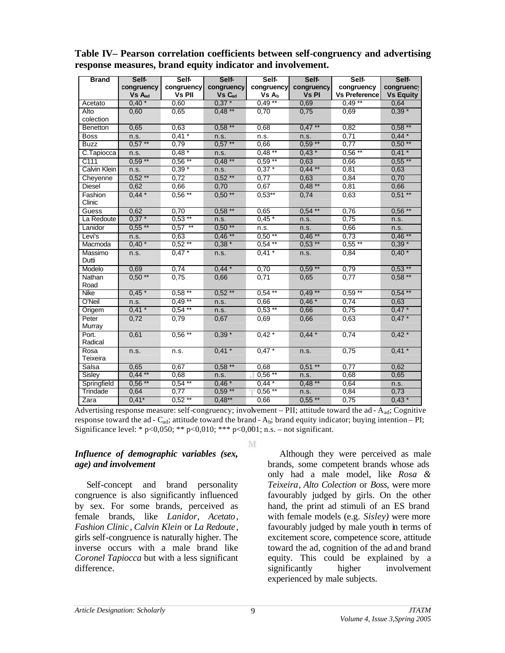| <b>Brand</b>        | Self-                            | Self-                       | Self-                            | Self-                           | Self-                      | Self-                              | Self-                          |
|---------------------|----------------------------------|-----------------------------|----------------------------------|---------------------------------|----------------------------|------------------------------------|--------------------------------|
|                     | congruency<br>Vs A <sub>ad</sub> | congruency<br><b>Vs PII</b> | congruency<br>Vs C <sub>ad</sub> | congruency<br>Vs A <sub>b</sub> | congruency<br><b>Vs PI</b> | congruency<br><b>Vs Preference</b> | congruency<br><b>Vs Equity</b> |
| Acetato             | $0,40*$                          | 0,60                        | $0.37*$                          | $0,49**$                        | 0,69                       | $0.49**$                           | 0,64                           |
| Alto                | 0,60                             | 0,65                        | $0,48**$                         | 0,70                            | 0,75                       | 0,69                               | $0,39 *$                       |
| colection           |                                  |                             |                                  |                                 |                            |                                    |                                |
| Benetton            | 0,65                             | 0.63                        | $0.58***$                        | 0,68                            | $0,47***$                  | 0,82                               | $0.58***$                      |
| <b>Boss</b>         | n.s.                             | $0.41*$                     | n.s.                             | n.s.                            | n.s.                       | 0.71                               | $0,44*$                        |
| <b>Buzz</b>         | $0,57***$                        | 0,79                        | $0,57***$                        | 0,66                            | $0,59**$                   | 0,77                               | $0,50**$                       |
| C.Tapiocca          | n.s.                             | $0.48*$                     | n.s.                             | $0,48**$                        | $0,43*$                    | $0,56***$                          | $0,41*$                        |
| C111                | $0,59***$                        | $0,56$ **                   | $0,48**$                         | $0.59**$                        | 0,63                       | 0,66                               | $0,55$ **                      |
| <b>Calvin Klein</b> | n.s.                             | $0.39*$                     | n.s.                             | $0.37*$                         | $0,44$ **                  | 0,81                               | 0,63                           |
| Cheyenne            | $0,52**$                         | 0,72                        | $0,52***$                        | 0,77                            | 0,63                       | 0,84                               | 0,70                           |
| <b>Diesel</b>       | 0,62                             | 0,66                        | 0,70                             | 0,67                            | $0,48**$                   | 0,81                               | 0,66                           |
| Fashion<br>Clinic   | $0,44*$                          | $0,56**$                    | $0,50**$                         | $0,53***$                       | 0,74                       | 0,63                               | $0,51***$                      |
| Guess               | 0,62                             | 0,70                        | $0,58$ **                        | 0,65                            | $0.54$ **                  | 0,76                               | $0,56$ **                      |
| La Redoute          | $0,37*$                          | $0,53**$                    | n.s.                             | $0,45*$                         | n.s.                       | 0,75                               | n.s.                           |
| Lanidor             | $0,55***$                        | $0,57$ **                   | $0,50**$                         | n.s.                            | n.s.                       | 0,66                               | n.s.                           |
| Levi's              | n.s.                             | 0.63                        | $0,46***$                        | $0,50**$                        | $0.46***$                  | 0,73                               | $0,46**$                       |
| Macmoda             | $0.40*$                          | $0,52***$                   | $0.38*$                          | $0,54***$                       | $0.53***$                  | $0,55***$                          | $0,39*$                        |
| Massimo<br>Dutti    | n.s.                             | $0.47*$                     | n.s.                             | $0,41*$                         | n.s.                       | 0,84                               | $0.40*$                        |
| Modelo              | 0,69                             | 0,74                        | $0.44*$                          | 0,70                            | $0,59**$                   | 0,79                               | $0.53$ **                      |
| Nathan<br>Road      | $0,50**$                         | 0,75                        | 0,66                             | 0,71                            | 0,65                       | 0,77                               | $0,58**$                       |
| Nike                | $0,45*$                          | $0,58**$                    | $0,52**$                         | $0.54***$                       | $0.49***$                  | $0,59**$                           | $0,54$ **                      |
| O'Neil              | n.s.                             | $0.49**$                    | n.s.                             | 0,66                            | $0.46*$                    | 0,74                               | 0,63                           |
| Origem              | $0.41 *$                         | $0.54***$                   | n.s.                             | $0,53$ **                       | 0,66                       | 0,75                               | $0.47*$                        |
| Peter<br>Murray     | 0,72                             | 0,79                        | 0,67                             | 0,69                            | 0,66                       | 0,63                               | $0,47*$                        |
| Port.<br>Radical    | 0,61                             | $0,56$ <sup>**</sup>        | $0,39*$                          | $0.42*$                         | $0,44*$                    | 0,74                               | $0.42*$                        |
| Rosa<br>Teixeira    | n.s.                             | n.s.                        | $0,41$ *                         | $0,47*$                         | n.s.                       | 0,75                               | $0,41*$                        |
| Salsa               | 0,65                             | 0,67                        | $0,58$ **                        | 0,68                            | $0,51***$                  | 0,77                               | 0,62                           |
| Sisley              | $0,44$ **                        | 0,68                        | n.s.                             | $0,56**$                        | n.s.                       | 0,68                               | 0,65                           |
| Springfield         | $0,56***$                        | $0,54***$                   | $0,46*$                          | $0,44*$                         | $0.48***$                  | 0,64                               | n.s.                           |
| Trindade            | 0,64                             | 0,77                        | $0,59***$                        | $0,56**$                        | n.s.                       | 0,84                               | 0,73                           |
| Zara                | $0.41*$                          | $0.52**$                    | $0,48***$                        | 0,66                            | $0,55$ **                  | 0,75                               | $0,43*$                        |

# **Table IV– Pearson correlation coefficients between self-congruency and advertising response measures, brand equity indicator and involvement.**

Advertising response measure: self-congruency; involvement – PII; attitude toward the ad - A<sub>ad</sub>; Cognitive response toward the ad -  $C_{ad}$ ; attitude toward the brand -  $A_b$ ; brand equity indicator; buying intention – PI; Significance level: \* p<0,050; \*\* p<0,010; \*\*\* p<0,001; n.s. – not significant.

### *Influence of demographic variables (sex, age) and involvement*

Self-concept and brand personality congruence is also significantly influenced by sex. For some brands, perceived as female brands, like *Lanidor*, *Acetato*, *Fashion Clinic* , *Calvin Klein* or *La Redoute* , girls self-congruence is naturally higher. The inverse occurs with a male brand like *Coronel Tapiocca* but with a less significant difference.

#### M

Although they were perceived as male brands, some competent brands whose ads only had a male model, like *Rosa & Teixeira*, *Alto Colection* or *Boss,* were more favourably judged by girls. On the other hand, the print ad stimuli of an ES brand with female models (e.g. *Sisley)* were more favourably judged by male youth in terms of excitement score, competence score, attitude toward the ad, cognition of the ad and brand equity. This could be explained by a significantly higher involvement experienced by male subjects.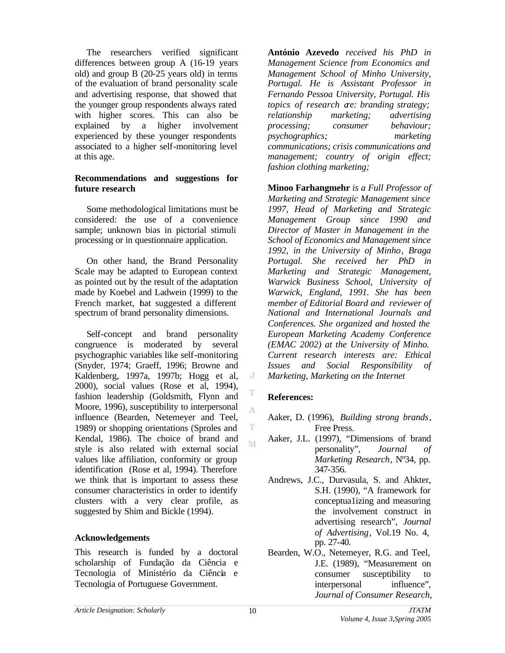The researchers verified significant differences between group A (16-19 years old) and group B (20-25 years old) in terms of the evaluation of brand personality scale and advertising response, that showed that the younger group respondents always rated with higher scores. This can also be explained by a higher involvement experienced by these younger respondents associated to a higher self-monitoring level at this age.

#### **Recommendations and suggestions for future research**

Some methodological limitations must be considered: the use of a convenience sample; unknown bias in pictorial stimuli processing or in questionnaire application.

On other hand, the Brand Personality Scale may be adapted to European context as pointed out by the result of the adaptation made by Koebel and Ladwein (1999) to the French market, hat suggested a different spectrum of brand personality dimensions.

Self-concept and brand personality congruence is moderated by several psychographic variables like self-monitoring (Snyder, 1974; Graeff, 1996; Browne and Kaldenberg, 1997a, 1997b; Hogg et al, 2000), social values (Rose et al, 1994), fashion leadership (Goldsmith, Flynn and Moore, 1996), susceptibility to interpersonal influence (Bearden, Netemeyer and Teel, 1989) or shopping orientations (Sproles and Kendal, 1986). The choice of brand and style is also related with external social values like affiliation, conformity or group identification (Rose et al, 1994). Therefore we think that is important to assess these consumer characteristics in order to identify clusters with a very clear profile, as suggested by Shim and Bickle (1994).

#### **Acknowledgements**

This research is funded by a doctoral scholarship of Fundação da Ciência e Tecnologia of Ministério da Ciência e Tecnologia of Portuguese Government.

**António Azevedo** *received his PhD in Management Science from Economics and Management School of Minho University, Portugal. He is Assistant Professor in Fernando Pessoa University, Portugal. His topics of research are: branding strategy; relationship marketing; advertising processing; consumer behaviour; psychographics; marketing communications; crisis communications and management; country of origin effect; fashion clothing marketing;* 

**Minoo Farhangmehr** *is a Full Professor of Marketing and Strategic Management since 1997, Head of Marketing and Strategic Management Group since 1990 and Director of Master in Management in the School of Economics and Management since 1992, in the University of Minho, Braga Portugal. She received her PhD in Marketing and Strategic Management, Warwick Business School, University of Warwick, England, 1991. She has been member of Editorial Board and reviewer of National and International Journals and Conferences. She organized and hosted the European Marketing Academy Conference (EMAC 2002) at the University of Minho. Current research interests are: Ethical Issues and Social Responsibility of Marketing, Marketing on the Internet*

# **References:**

 $\cdot$ 

T A

- Aaker, D. (1996), *Building strong brands*, Free Press.
- Aaker, J.L. (1997), "Dimensions of brand personality", *Journal of Marketing Research*, Nº34, pp. 347-356.
- Andrews, J.C., Durvasula, S. and Ahkter, S.H. (1990), "A framework for conceptua1izing and measuring the involvement construct in advertising research", *Journal of Advertising*, Vol.19 No. 4, pp. 27-40.
- Bearden, W.O., Netemeyer, R.G. and Teel, J.E. (1989), "Measurement on consumer susceptibility to interpersonal influence", *Journal of Consumer Research*,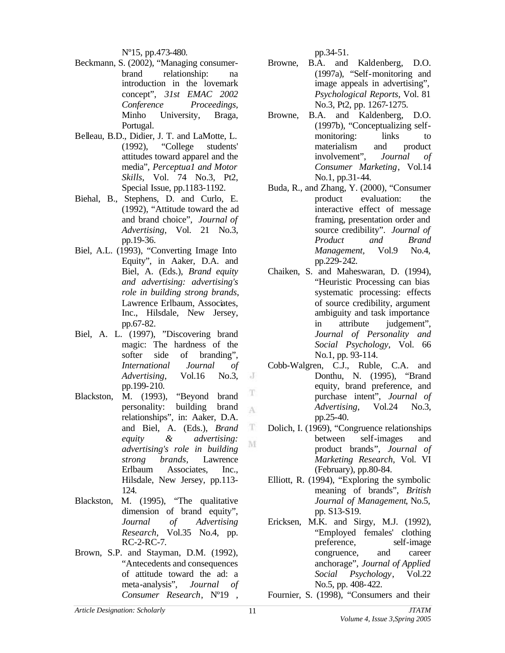Nº15, pp.473-480.

- Beckmann, S. (2002), "Managing consumerbrand relationship: na introduction in the lovemark concept", *31st EMAC 2002 Conference Proceedings,* Minho University, Braga, Portugal.
- Belleau, B.D., Didier, J. T. and LaMotte, L. (1992), "College students' attitudes toward apparel and the media", *Perceptua1 and Motor Skills*, Vol. 74 No.3, Pt2, Special Issue, pp.1183-1192.
- Biehal, B., Stephens, D. and Curlo, E. (1992), "Attitude toward the ad and brand choice", *Journal of Advertising*, Vol. 21 No.3, pp.19-36.
- Biel, A.L. (1993), "Converting Image Into Equity", in Aaker, D.A. and Biel, A. (Eds.), *Brand equity and advertising: advertising's role in building strong brands*, Lawrence Erlbaum, Associates, Inc., Hilsdale, New Jersey, pp.67-82.
- Biel, A. L. (1997), "Discovering brand magic: The hardness of the softer side of branding", *International Journal of Advertising*, Vol.16 No.3, pp.199-210.
- T Blackston, M. (1993), "Beyond brand personality: building brand A relationships", in: Aaker, D.A. and Biel, A. (Eds.), *Brand*  T *equity & advertising:* M *advertising's role in building strong brands*, Lawrence Erlbaum Associates, Inc., Hilsdale, New Jersey, pp.113- 124.
- Blackston, M. (1995), "The qualitative dimension of brand equity", *Journal of Advertising Research*, Vol.35 No.4, pp. RC-2-RC-7.
- Brown, S.P. and Stayman, D.M. (1992), "Antecedents and consequences of attitude toward the ad: a meta-analysis", *Journal of Consumer Research*, Nº19 ,

pp.34-51.

- Browne, B.A. and Kaldenberg, D.O. (1997a), "Self-monitoring and image appeals in advertising", *Psychological Reports*, Vol. 81 No.3, Pt2, pp. 1267-1275.
- Browne, B.A. and Kaldenberg, D.O. (1997b), "Conceptualizing selfmonitoring: links to materialism and product involvement", *Journal of Consumer Marketing*, Vol.14 No.1, pp.31-44.
- Buda, R., and Zhang, Y. (2000), "Consumer product evaluation: the interactive effect of message framing, presentation order and source credibility". *Journal of Product and Brand Management,* Vol.9 No.4, pp.229-242.
- Chaiken, S. and Maheswaran, D. (1994), "Heuristic Processing can bias systematic processing: effects of source credibility, argument ambiguity and task importance in attribute judgement", *Journal of Personality and Social Psychology*, Vol. 66 No.1, pp. 93-114.
- Cobb-Walgren, C.J., Ruble, C.A. and Donthu, N. (1995), "Brand equity, brand preference, and purchase intent", *Journal of Advertising*, Vol.24 No.3, pp.25-40.
- Dolich, I. (1969), "Congruence relationships between self-images and product brands", *Journal of Marketing Research,* Vol. VI (February), pp.80-84.
- Elliott, R. (1994), "Exploring the symbolic meaning of brands", *British Journal of Management*, No.5, pp. S13-S19.
- Ericksen, M.K. and Sirgy, M.J. (1992), "Employed females' clothing preference, self-image congruence, and career anchorage", *Journal of Applied Social Psychology*, Vol.22 No.5, pp. 408-422.
- Fournier, S. (1998), "Consumers and their

 $\cdot$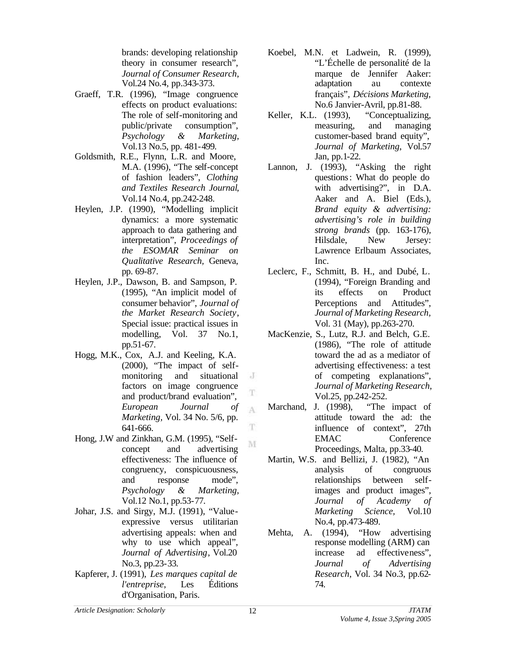brands: developing relationship theory in consumer research", *Journal of Consumer Research*, Vol.24 No.4, pp.343-373.

- Graeff, T.R. (1996), "Image congruence effects on product evaluations: The role of self-monitoring and public/private consumption", *Psychology & Marketing*, Vol.13 No.5, pp. 481-499.
- Goldsmith, R.E., Flynn, L.R. and Moore, M.A. (1996), "The self-concept of fashion leaders", *Clothing and Textiles Research Journal*, Vol.14 No.4, pp.242-248.
- Heylen, J.P. (1990), "Modelling implicit dynamics: a more systematic approach to data gathering and interpretation", *Proceedings of the ESOMAR Seminar on Qualitative Research,* Geneva, pp. 69-87.
- Heylen, J.P., Dawson, B. and Sampson, P. (1995), "An implicit model of consumer behavior", *Journal of the Market Research Society*, Special issue: practical issues in modelling, Vol. 37 No.1, pp.51-67.
- Hogg, M.K., Cox, A.J. and Keeling, K.A. (2000), "The impact of selfmonitoring and situational factors on image congruence and product/brand evaluation", *European Journal of Marketing,* Vol. 34 No. 5/6, pp. 641-666.
- Hong, J.W and Zinkhan, G.M. (1995), "Selfconcept and advertising effectiveness: The influence of congruency, conspicuousness, and response mode", *Psychology & Marketing*, Vol.12 No.1, pp.53-77.
- Johar, J.S. and Sirgy, M.J. (1991), "Valueexpressive versus utilitarian advertising appeals: when and why to use which appeal", *Journal of Advertising*, Vol.20 No.3, pp.23-33.
- Kapferer, J. (1991), *Les marques capital de l'entreprise*, Les Éditions d'Organisation, Paris.
- Koebel, M.N. et Ladwein, R. (1999), "L'Échelle de personalité de la marque de Jennifer Aaker: adaptation au contexte français", *Décisions Marketing,*  No.6 Janvier-Avril, pp.81-88.
- Keller, K.L. (1993), "Conceptualizing, measuring, and managing customer-based brand equity", *Journal of Marketing*, Vol.57 Jan, pp.1-22.
- Lannon, J. (1993), "Asking the right questions: What do people do with advertising?", in D.A. Aaker and A. Biel (Eds.), *Brand equity & advertising: advertising's role in building strong brands* (pp. 163-176), Hilsdale, New Jersey: Lawrence Erlbaum Associates, Inc.
- Leclerc, F., Schmitt, B. H., and Dubé, L. (1994), "Foreign Branding and its effects on Product Perceptions and Attitudes", *Journal of Marketing Research,*  Vol. 31 (May), pp.263-270.
- MacKenzie, S., Lutz, R.J. and Belch, G.E. (1986), "The role of attitude toward the ad as a mediator of advertising effectiveness: a test of competing explanations", *Journal of Marketing Research*, Vol.25, pp.242-252.
- Marchand, J. (1998), "The impact of attitude toward the ad: the influence of context", 27th EMAC Conference Proceedings, Malta, pp.33-40.
- Martin, W.S. and Bellizi, J. (1982), "An analysis of congruous relationships between selfimages and product images", *Journal of Academy of Marketing Science,* Vol.10 No.4, pp.473-489.
- Mehta, A. (1994), "How advertising response modelling (ARM) can increase ad effectiveness", *Journal of Advertising Research*, Vol. 34 No.3, pp.62- 74.

 $\cdot$ 

T A

T

M